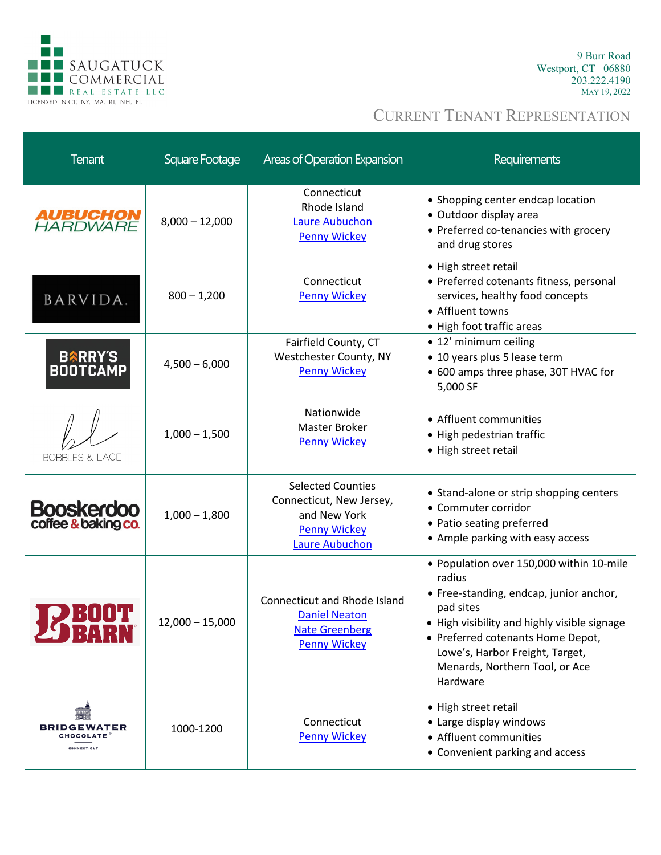

9 Burr Road Westport, CT 06880 203.222.4190 MAY 19, 2022

| <b>Tenant</b>                                  | Square Footage    | <b>Areas of Operation Expansion</b>                                                                                  | Requirements                                                                                                                                                                                                                                                                     |
|------------------------------------------------|-------------------|----------------------------------------------------------------------------------------------------------------------|----------------------------------------------------------------------------------------------------------------------------------------------------------------------------------------------------------------------------------------------------------------------------------|
| <b>AUBUCHON</b><br>HARDWARE                    | $8,000 - 12,000$  | Connecticut<br>Rhode Island<br><b>Laure Aubuchon</b><br><b>Penny Wickey</b>                                          | • Shopping center endcap location<br>· Outdoor display area<br>• Preferred co-tenancies with grocery<br>and drug stores                                                                                                                                                          |
| BARVIDA.                                       | $800 - 1,200$     | Connecticut<br><b>Penny Wickey</b>                                                                                   | • High street retail<br>• Preferred cotenants fitness, personal<br>services, healthy food concepts<br>• Affluent towns<br>• High foot traffic areas                                                                                                                              |
| <b>BARRY'S</b><br><b>BOOTCAMP</b>              | $4,500 - 6,000$   | Fairfield County, CT<br>Westchester County, NY<br><b>Penny Wickey</b>                                                | • 12' minimum ceiling<br>• 10 years plus 5 lease term<br>• 600 amps three phase, 30T HVAC for<br>5,000 SF                                                                                                                                                                        |
| <b>BOBBLES &amp; LACE</b>                      | $1,000 - 1,500$   | Nationwide<br>Master Broker<br><b>Penny Wickey</b>                                                                   | • Affluent communities<br>• High pedestrian traffic<br>• High street retail                                                                                                                                                                                                      |
| <b>Booskerdoo</b><br>coffee & baking co.       | $1,000 - 1,800$   | <b>Selected Counties</b><br>Connecticut, New Jersey,<br>and New York<br><b>Penny Wickey</b><br><b>Laure Aubuchon</b> | • Stand-alone or strip shopping centers<br>• Commuter corridor<br>• Patio seating preferred<br>• Ample parking with easy access                                                                                                                                                  |
| 29 BARN                                        | $12,000 - 15,000$ | <b>Connecticut and Rhode Island</b><br><b>Daniel Neaton</b><br><b>Nate Greenberg</b><br><b>Penny Wickey</b>          | · Population over 150,000 within 10-mile<br>radius<br>• Free-standing, endcap, junior anchor,<br>pad sites<br>• High visibility and highly visible signage<br>• Preferred cotenants Home Depot,<br>Lowe's, Harbor Freight, Target,<br>Menards, Northern Tool, or Ace<br>Hardware |
| <b>BRIDGEWATER</b><br>CHOCOLATE<br>CONNECTICUT | 1000-1200         | Connecticut<br><b>Penny Wickey</b>                                                                                   | • High street retail<br>• Large display windows<br>• Affluent communities<br>• Convenient parking and access                                                                                                                                                                     |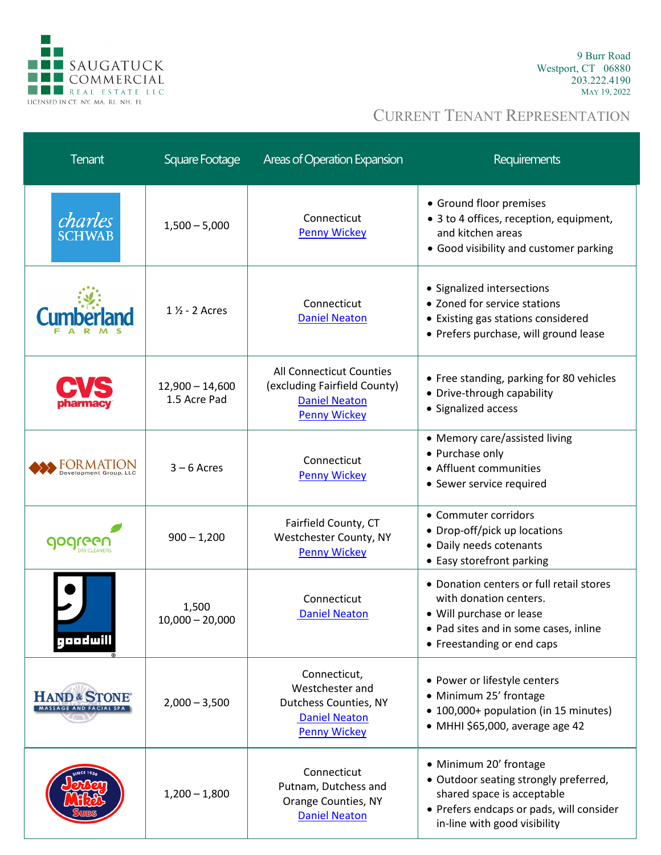

9 Burr Road Westport, CT 06880 203.222.4190 MAY 19, 2022

| <b>Tenant</b>                                      | Square Footage                    | Areas of Operation Expansion                                                                            | Requirements                                                                                                                                                              |
|----------------------------------------------------|-----------------------------------|---------------------------------------------------------------------------------------------------------|---------------------------------------------------------------------------------------------------------------------------------------------------------------------------|
| charles<br><b>SCHWAB</b>                           | $1,500 - 5,000$                   | Connecticut<br><b>Penny Wickey</b>                                                                      | • Ground floor premises<br>• 3 to 4 offices, reception, equipment,<br>and kitchen areas<br>• Good visibility and customer parking                                         |
|                                                    | $1\frac{1}{2}$ - 2 Acres          | Connecticut<br><b>Daniel Neaton</b>                                                                     | • Signalized intersections<br>• Zoned for service stations<br>• Existing gas stations considered<br>• Prefers purchase, will ground lease                                 |
|                                                    | $12,900 - 14,600$<br>1.5 Acre Pad | All Connecticut Counties<br>(excluding Fairfield County)<br><b>Daniel Neaton</b><br><b>Penny Wickey</b> | • Free standing, parking for 80 vehicles<br>• Drive-through capability<br>• Signalized access                                                                             |
| OR MATI                                            | $3 - 6$ Acres                     | Connecticut<br><b>Penny Wickey</b>                                                                      | • Memory care/assisted living<br>• Purchase only<br>• Affluent communities<br>• Sewer service required                                                                    |
|                                                    | $900 - 1,200$                     | Fairfield County, CT<br>Westchester County, NY<br><b>Penny Wickey</b>                                   | • Commuter corridors<br>• Drop-off/pick up locations<br>• Daily needs cotenants<br>• Easy storefront parking                                                              |
| geedwill                                           | 1,500<br>$10,000 - 20,000$        | Connecticut<br><b>Daniel Neaton</b>                                                                     | • Donation centers or full retail stores<br>with donation centers.<br>• Will purchase or lease<br>• Pad sites and in some cases, inline<br>• Freestanding or end caps     |
| <b>HAND &amp; STONE®</b><br>MASSAGE AND FACIAL SPA | $2,000 - 3,500$                   | Connecticut,<br>Westchester and<br>Dutchess Counties, NY<br><b>Daniel Neaton</b><br><b>Penny Wickey</b> | • Power or lifestyle centers<br>• Minimum 25' frontage<br>• 100,000+ population (in 15 minutes)<br>$\bullet$ MHHI \$65,000, average age 42                                |
|                                                    | $1,200 - 1,800$                   | Connecticut<br>Putnam, Dutchess and<br>Orange Counties, NY<br><b>Daniel Neaton</b>                      | • Minimum 20' frontage<br>• Outdoor seating strongly preferred,<br>shared space is acceptable<br>• Prefers endcaps or pads, will consider<br>in-line with good visibility |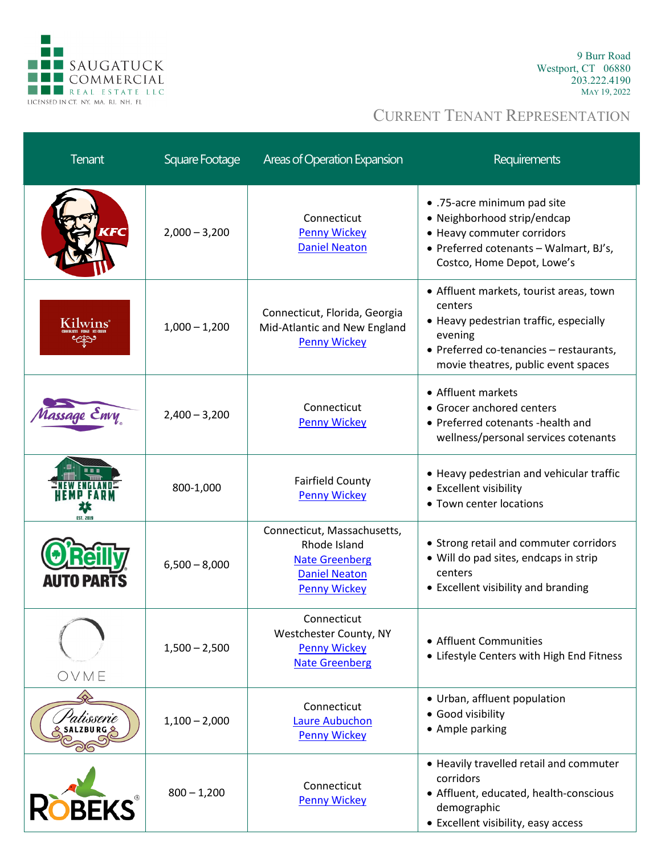

9 Burr Road Westport, CT 06880 203.222.4190 MAY 19, 2022

| <b>Tenant</b>     | Square Footage  | Areas of Operation Expansion                                                                                        | <b>Requirements</b>                                                                                                                                                                       |
|-------------------|-----------------|---------------------------------------------------------------------------------------------------------------------|-------------------------------------------------------------------------------------------------------------------------------------------------------------------------------------------|
| <b>TEC</b>        | $2,000 - 3,200$ | Connecticut<br><b>Penny Wickey</b><br><b>Daniel Neaton</b>                                                          | • .75-acre minimum pad site<br>• Neighborhood strip/endcap<br>• Heavy commuter corridors<br>• Preferred cotenants - Walmart, BJ's,<br>Costco, Home Depot, Lowe's                          |
| ilwins            | $1,000 - 1,200$ | Connecticut, Florida, Georgia<br>Mid-Atlantic and New England<br><b>Penny Wickey</b>                                | • Affluent markets, tourist areas, town<br>centers<br>• Heavy pedestrian traffic, especially<br>evening<br>• Preferred co-tenancies - restaurants,<br>movie theatres, public event spaces |
| assage Envy       | $2,400 - 3,200$ | Connecticut<br><b>Penny Wickey</b>                                                                                  | • Affluent markets<br>• Grocer anchored centers<br>• Preferred cotenants -health and<br>wellness/personal services cotenants                                                              |
| <b>EST. 2019</b>  | 800-1,000       | <b>Fairfield County</b><br><b>Penny Wickey</b>                                                                      | • Heavy pedestrian and vehicular traffic<br>• Excellent visibility<br>• Town center locations                                                                                             |
| <b>AUTO PARTS</b> | $6,500 - 8,000$ | Connecticut, Massachusetts,<br>Rhode Island<br><b>Nate Greenberg</b><br><b>Daniel Neaton</b><br><b>Penny Wickey</b> | • Strong retail and commuter corridors<br>• Will do pad sites, endcaps in strip<br>centers<br>• Excellent visibility and branding                                                         |
| OVME              | $1,500 - 2,500$ | Connecticut<br>Westchester County, NY<br><b>Penny Wickey</b><br><b>Nate Greenberg</b>                               | • Affluent Communities<br>• Lifestyle Centers with High End Fitness                                                                                                                       |
| rtisserie         | $1,100 - 2,000$ | Connecticut<br><b>Laure Aubuchon</b><br><b>Penny Wickey</b>                                                         | • Urban, affluent population<br>• Good visibility<br>• Ample parking                                                                                                                      |
| <b>OBEKS</b>      | $800 - 1,200$   | Connecticut<br><b>Penny Wickey</b>                                                                                  | • Heavily travelled retail and commuter<br>corridors<br>• Affluent, educated, health-conscious<br>demographic<br>• Excellent visibility, easy access                                      |